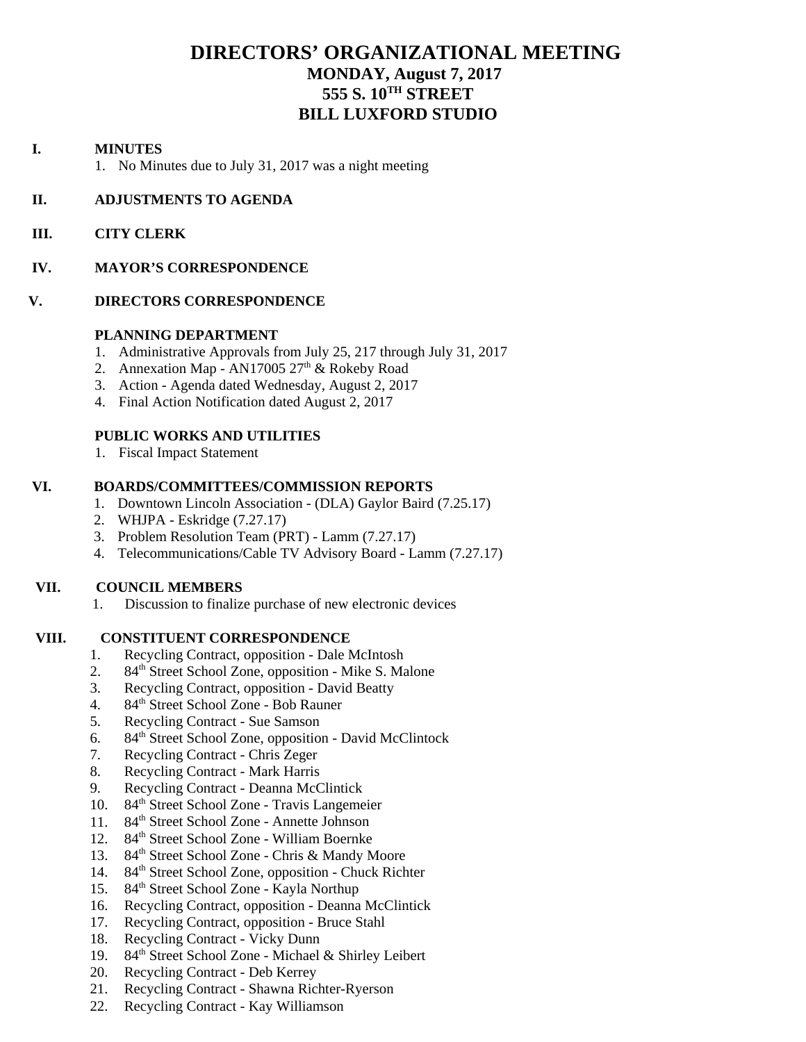## **DIRECTORS' ORGANIZATIONAL MEETING MONDAY, August 7, 2017 555 S. 10TH STREET BILL LUXFORD STUDIO**

#### **I. MINUTES**

1. No Minutes due to July 31, 2017 was a night meeting

#### **II. ADJUSTMENTS TO AGENDA**

 **III. CITY CLERK** 

#### **IV. MAYOR'S CORRESPONDENCE**

#### **V. DIRECTORS CORRESPONDENCE**

#### **PLANNING DEPARTMENT**

- 1. Administrative Approvals from July 25, 217 through July 31, 2017
- 2. Annexation Map AN17005  $27<sup>th</sup>$  & Rokeby Road
- 3. Action Agenda dated Wednesday, August 2, 2017
- 4. Final Action Notification dated August 2, 2017

## **PUBLIC WORKS AND UTILITIES**

1. Fiscal Impact Statement

## **VI. BOARDS/COMMITTEES/COMMISSION REPORTS**

- 1. Downtown Lincoln Association (DLA) Gaylor Baird (7.25.17)
- 2. WHJPA Eskridge (7.27.17)
- 3. Problem Resolution Team (PRT) Lamm (7.27.17)
- 4. Telecommunications/Cable TV Advisory Board Lamm (7.27.17)

#### **VII. COUNCIL MEMBERS**

1. Discussion to finalize purchase of new electronic devices

#### **VIII. CONSTITUENT CORRESPONDENCE**

- 1. Recycling Contract, opposition Dale McIntosh
- 2. 84<sup>th</sup> Street School Zone, opposition Mike S. Malone
- 3. Recycling Contract, opposition David Beatty
- 4. 84th Street School Zone Bob Rauner
- 5. Recycling Contract Sue Samson
- 6. 84th Street School Zone, opposition David McClintock
- 7. Recycling Contract Chris Zeger
- 8. Recycling Contract Mark Harris
- 9. Recycling Contract Deanna McClintick
- 10. 84th Street School Zone Travis Langemeier
- 11. 84<sup>th</sup> Street School Zone Annette Johnson
- 12. 84<sup>th</sup> Street School Zone William Boernke
- 13. 84<sup>th</sup> Street School Zone Chris & Mandy Moore
- 14. 84<sup>th</sup> Street School Zone, opposition Chuck Richter
- 15. 84<sup>th</sup> Street School Zone Kayla Northup
- 16. Recycling Contract, opposition Deanna McClintick
- 17. Recycling Contract, opposition Bruce Stahl
- 18. Recycling Contract Vicky Dunn
- 19. 84<sup>th</sup> Street School Zone Michael & Shirley Leibert
- 20. Recycling Contract Deb Kerrey
- 21. Recycling Contract Shawna Richter-Ryerson
- 22. Recycling Contract Kay Williamson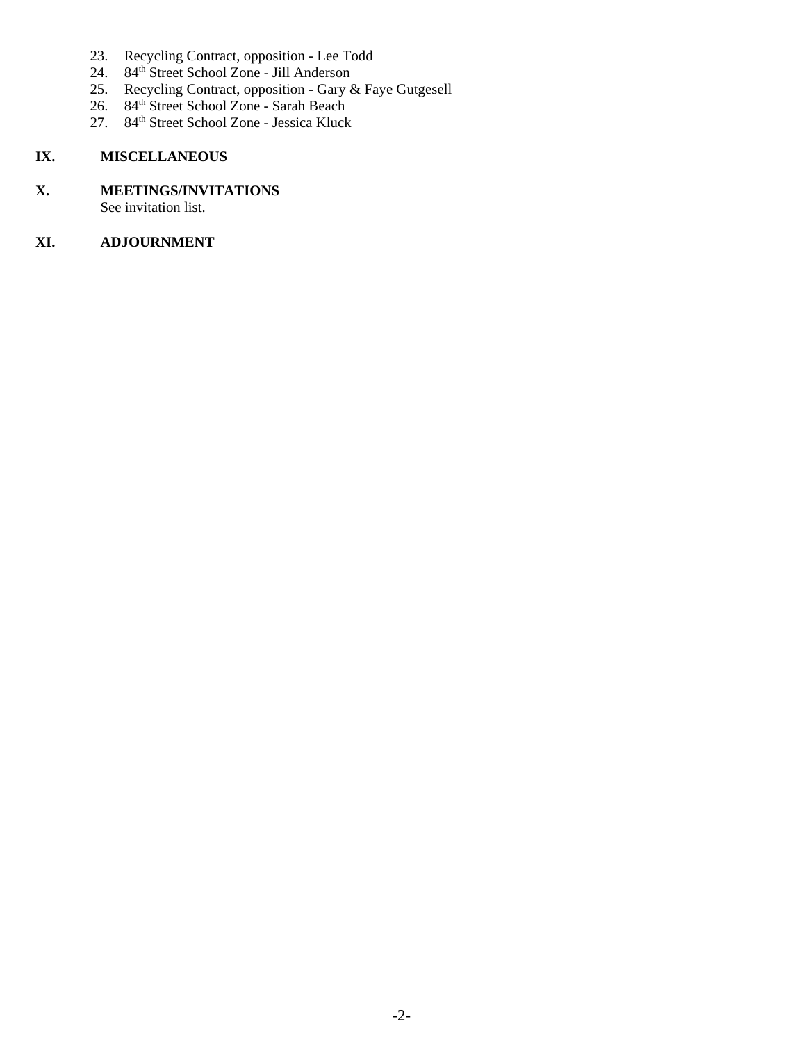- 23. Recycling Contract, opposition Lee Todd
- 24. 84<sup>th</sup> Street School Zone Jill Anderson
- 25. Recycling Contract, opposition Gary & Faye Gutgesell
- 26. 84<sup>th</sup> Street School Zone Sarah Beach
- 27. 84<sup>th</sup> Street School Zone Jessica Kluck

## **IX. MISCELLANEOUS**

# **X. MEETINGS/INVITATIONS**

See invitation list.

## **XI. ADJOURNMENT**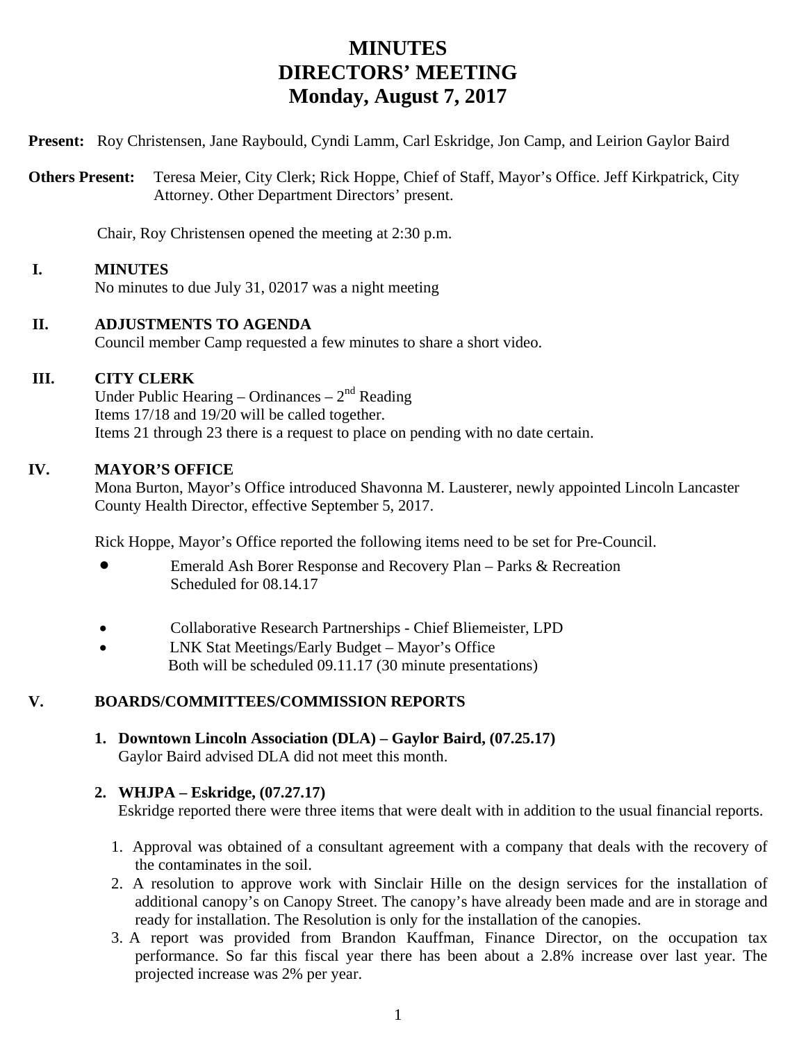# **MINUTES DIRECTORS' MEETING Monday, August 7, 2017**

**Present:** Roy Christensen, Jane Raybould, Cyndi Lamm, Carl Eskridge, Jon Camp, and Leirion Gaylor Baird

**Others Present:** Teresa Meier, City Clerk; Rick Hoppe, Chief of Staff, Mayor's Office. Jeff Kirkpatrick, City Attorney. Other Department Directors' present.

Chair, Roy Christensen opened the meeting at 2:30 p.m.

## **I. MINUTES**

No minutes to due July 31, 02017 was a night meeting

## **II. ADJUSTMENTS TO AGENDA**

Council member Camp requested a few minutes to share a short video.

## **III. CITY CLERK**

Under Public Hearing – Ordinances –  $2<sup>nd</sup>$  Reading Items 17/18 and 19/20 will be called together. Items 21 through 23 there is a request to place on pending with no date certain.

#### **IV. MAYOR'S OFFICE**

Mona Burton, Mayor's Office introduced Shavonna M. Lausterer, newly appointed Lincoln Lancaster County Health Director, effective September 5, 2017.

Rick Hoppe, Mayor's Office reported the following items need to be set for Pre-Council.

- Emerald Ash Borer Response and Recovery Plan Parks & Recreation Scheduled for 08.14.17
- Collaborative Research Partnerships Chief Bliemeister, LPD
- LNK Stat Meetings/Early Budget Mayor's Office Both will be scheduled 09.11.17 (30 minute presentations)

## **V. BOARDS/COMMITTEES/COMMISSION REPORTS**

**1. Downtown Lincoln Association (DLA) – Gaylor Baird, (07.25.17)**  Gaylor Baird advised DLA did not meet this month.

## **2. WHJPA – Eskridge, (07.27.17)**

Eskridge reported there were three items that were dealt with in addition to the usual financial reports.

- 1. Approval was obtained of a consultant agreement with a company that deals with the recovery of the contaminates in the soil.
- 2. A resolution to approve work with Sinclair Hille on the design services for the installation of additional canopy's on Canopy Street. The canopy's have already been made and are in storage and ready for installation. The Resolution is only for the installation of the canopies.
- 3. A report was provided from Brandon Kauffman, Finance Director, on the occupation tax performance. So far this fiscal year there has been about a 2.8% increase over last year. The projected increase was 2% per year.